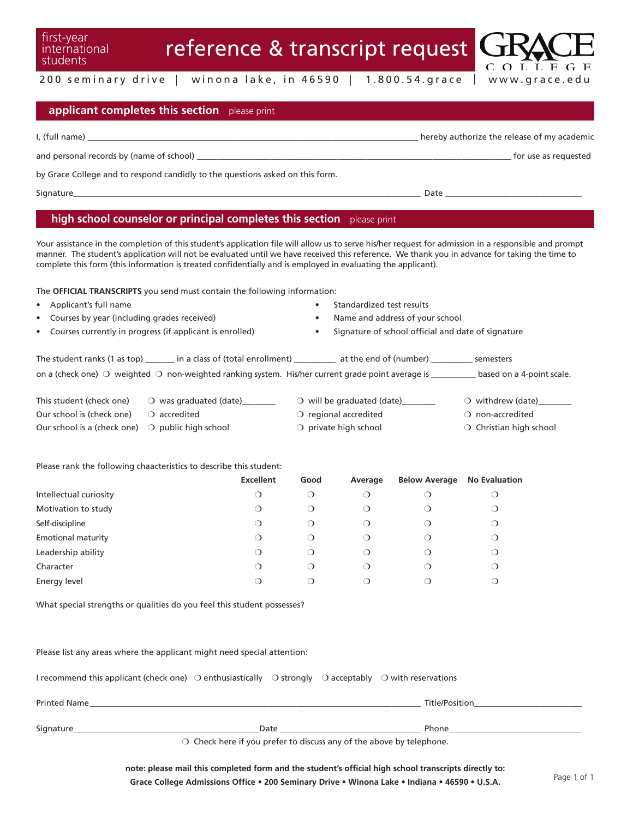students

first-year international

 $200$  seminary drive  $|$  winona lake, in 46590  $|$  1.800.54.grace  $|$  www.grace.edu

#### **applicant completes this section** please print

| I, (full name)                                                                | hereby authorize the release of my academic |
|-------------------------------------------------------------------------------|---------------------------------------------|
| and personal records by (name of school)                                      | for use as requested                        |
| by Grace College and to respond candidly to the questions asked on this form. |                                             |
| Signature                                                                     | Date                                        |

### **high school counselor or principal completes this section** please print

Your assistance in the completion of this student's application file will allow us to serve his/her request for admission in a responsible and prompt manner. The student's application will not be evaluated until we have received this reference. We thank you in advance for taking the time to complete this form (this information is treated confidentially and is employed in evaluating the applicant).

The **OFFICIAL TRANSCRIPTS** you send must contain the following information:

- 
- 
- 
- Applicant's full name Standardized test results
- Courses by year (including grades received) Name and address of your school
	- Courses currently in progress (if applicant is enrolled) **•** Signature of school official and date of signature

The student ranks (1 as top) \_\_\_\_\_\_\_ in a class of (total enrollment) \_\_\_\_\_\_\_\_\_\_ at the end of (number) \_\_\_\_\_\_\_\_\_\_ semesters on a (check one)  $\bigcirc$  weighted  $\bigcirc$  non-weighted ranking system. His/her current grade point average is \_\_\_\_\_\_\_\_\_\_\_\_ based on a 4-point scale.

| $-1$ . I . I . N $\alpha$ . I . III . N |  |  |  |  |  |
|-----------------------------------------|--|--|--|--|--|
|                                         |  |  |  |  |  |

| This student (check one)                                  | $\circ$ was graduated (date)   | $\circ$ will be graduated (date) | $\bigcirc$ withdrew (date) |
|-----------------------------------------------------------|--------------------------------|----------------------------------|----------------------------|
| Our school is (check one)                                 | $\circlearrowright$ accredited | $\circ$ regional accredited      | $\bigcirc$ non-accredited  |
| Our school is a (check one) $\bigcirc$ public high school |                                | $\bigcirc$ private high school   | ○ Christian high school    |

Please rank the following chaacteristics to describe this student:

|                           | <b>Excellent</b> | Good    | Average | <b>Below Average</b> | <b>No Evaluation</b> |
|---------------------------|------------------|---------|---------|----------------------|----------------------|
| Intellectual curiosity    | ◯                | $\cup$  | Ω       | U                    | ∪                    |
| Motivation to study       | О                | $\circ$ | ◯       | Ő                    | $\cup$               |
| Self-discipline           | О                | О       | ◯       | O                    | $\circ$              |
| <b>Emotional maturity</b> | О                | ◯       | ∩       | 0                    | $\lambda$            |
| Leadership ability        | ◯                | О       | ∩       | ◯                    | $\lambda$            |
| Character                 | О                | Ő       | $\circ$ | $\circ$              | $\lambda$            |
| Energy level              |                  |         |         |                      | ( )                  |

What special strengths or qualities do you feel this student possesses?

Please list any areas where the applicant might need special attention:

| Signature                                                                                                                                    | Date | Phone          |
|----------------------------------------------------------------------------------------------------------------------------------------------|------|----------------|
| <b>Printed Name</b>                                                                                                                          |      | Title/Position |
| I recommend this applicant (check one) $\bigcirc$ enthusiastically $\bigcirc$ of strongly $\bigcirc$ acceptably $\bigcirc$ with reservations |      |                |

 $\bigcirc$  Check here if you prefer to discuss any of the above by telephone.

note: please mail this completed form and the student's official high school transcripts directly to: Grace College Admissions Office • 200 Seminary Drive • Winona Lake • Indiana • 46590 • U.S.A.